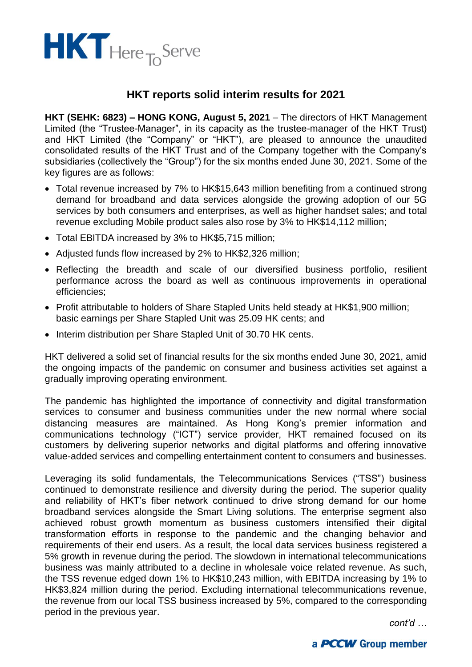

## **HKT reports solid interim results for 2021**

**HKT (SEHK: 6823) – HONG KONG, August 5, 2021** – The directors of HKT Management Limited (the "Trustee-Manager", in its capacity as the trustee-manager of the HKT Trust) and HKT Limited (the "Company" or "HKT"), are pleased to announce the unaudited consolidated results of the HKT Trust and of the Company together with the Company's subsidiaries (collectively the "Group") for the six months ended June 30, 2021. Some of the key figures are as follows:

- Total revenue increased by 7% to HK\$15,643 million benefiting from a continued strong demand for broadband and data services alongside the growing adoption of our 5G services by both consumers and enterprises, as well as higher handset sales; and total revenue excluding Mobile product sales also rose by 3% to HK\$14,112 million;
- Total EBITDA increased by 3% to HK\$5,715 million;
- Adjusted funds flow increased by 2% to HK\$2,326 million;
- Reflecting the breadth and scale of our diversified business portfolio, resilient performance across the board as well as continuous improvements in operational efficiencies;
- Profit attributable to holders of Share Stapled Units held steady at HK\$1,900 million; basic earnings per Share Stapled Unit was 25.09 HK cents; and
- Interim distribution per Share Stapled Unit of 30.70 HK cents.

HKT delivered a solid set of financial results for the six months ended June 30, 2021, amid the ongoing impacts of the pandemic on consumer and business activities set against a gradually improving operating environment.

The pandemic has highlighted the importance of connectivity and digital transformation services to consumer and business communities under the new normal where social distancing measures are maintained. As Hong Kong's premier information and communications technology ("ICT") service provider, HKT remained focused on its customers by delivering superior networks and digital platforms and offering innovative value-added services and compelling entertainment content to consumers and businesses.

Leveraging its solid fundamentals, the Telecommunications Services ("TSS") business continued to demonstrate resilience and diversity during the period. The superior quality and reliability of HKT's fiber network continued to drive strong demand for our home broadband services alongside the Smart Living solutions. The enterprise segment also achieved robust growth momentum as business customers intensified their digital transformation efforts in response to the pandemic and the changing behavior and requirements of their end users. As a result, the local data services business registered a 5% growth in revenue during the period. The slowdown in international telecommunications business was mainly attributed to a decline in wholesale voice related revenue. As such, the TSS revenue edged down 1% to HK\$10,243 million, with EBITDA increasing by 1% to HK\$3,824 million during the period. Excluding international telecommunications revenue, the revenue from our local TSS business increased by 5%, compared to the corresponding period in the previous year.

*cont'd …*

## a **PCCW** Group member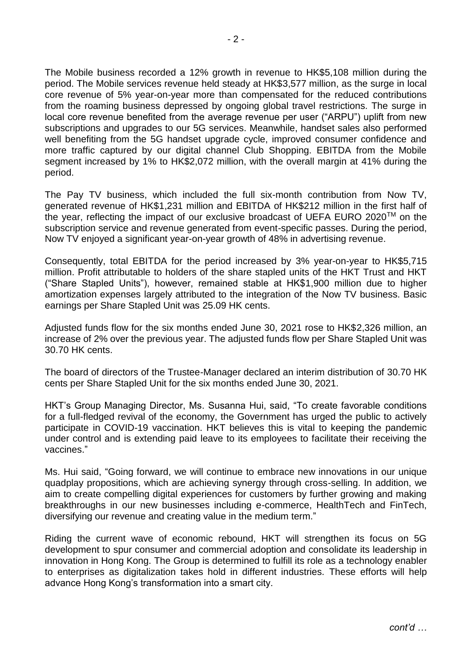The Mobile business recorded a 12% growth in revenue to HK\$5,108 million during the period. The Mobile services revenue held steady at HK\$3,577 million, as the surge in local core revenue of 5% year-on-year more than compensated for the reduced contributions from the roaming business depressed by ongoing global travel restrictions. The surge in local core revenue benefited from the average revenue per user ("ARPU") uplift from new subscriptions and upgrades to our 5G services. Meanwhile, handset sales also performed well benefiting from the 5G handset upgrade cycle, improved consumer confidence and more traffic captured by our digital channel Club Shopping. EBITDA from the Mobile segment increased by 1% to HK\$2,072 million, with the overall margin at 41% during the period.

The Pay TV business, which included the full six-month contribution from Now TV, generated revenue of HK\$1,231 million and EBITDA of HK\$212 million in the first half of the year, reflecting the impact of our exclusive broadcast of UEFA EURO 2020™ on the subscription service and revenue generated from event-specific passes. During the period, Now TV enjoyed a significant year-on-year growth of 48% in advertising revenue.

Consequently, total EBITDA for the period increased by 3% year-on-year to HK\$5,715 million. Profit attributable to holders of the share stapled units of the HKT Trust and HKT ("Share Stapled Units"), however, remained stable at HK\$1,900 million due to higher amortization expenses largely attributed to the integration of the Now TV business. Basic earnings per Share Stapled Unit was 25.09 HK cents.

Adjusted funds flow for the six months ended June 30, 2021 rose to HK\$2,326 million, an increase of 2% over the previous year. The adjusted funds flow per Share Stapled Unit was 30.70 HK cents.

The board of directors of the Trustee-Manager declared an interim distribution of 30.70 HK cents per Share Stapled Unit for the six months ended June 30, 2021.

HKT's Group Managing Director, Ms. Susanna Hui, said, "To create favorable conditions for a full-fledged revival of the economy, the Government has urged the public to actively participate in COVID-19 vaccination. HKT believes this is vital to keeping the pandemic under control and is extending paid leave to its employees to facilitate their receiving the vaccines."

Ms. Hui said, "Going forward, we will continue to embrace new innovations in our unique quadplay propositions, which are achieving synergy through cross-selling. In addition, we aim to create compelling digital experiences for customers by further growing and making breakthroughs in our new businesses including e-commerce, HealthTech and FinTech, diversifying our revenue and creating value in the medium term."

Riding the current wave of economic rebound, HKT will strengthen its focus on 5G development to spur consumer and commercial adoption and consolidate its leadership in innovation in Hong Kong. The Group is determined to fulfill its role as a technology enabler to enterprises as digitalization takes hold in different industries. These efforts will help advance Hong Kong's transformation into a smart city.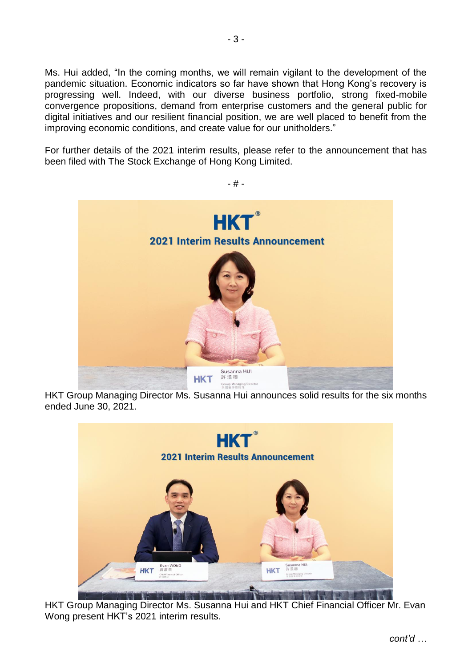Ms. Hui added, "In the coming months, we will remain vigilant to the development of the pandemic situation. Economic indicators so far have shown that Hong Kong's recovery is progressing well. Indeed, with our diverse business portfolio, strong fixed-mobile convergence propositions, demand from enterprise customers and the general public for digital initiatives and our resilient financial position, we are well placed to benefit from the improving economic conditions, and create value for our unitholders."

For further details of the 2021 interim results, please refer to the [announcement](http://www.hkt.com/staticfiles/HKTCorpsite2/About%20HKT/Investor%20relations/Announcements%20&%20notices/2021/Aug/e01-2021.08.05%20(2021%20Interim%20Results%20Announcement).pdf) that has been filed with The Stock Exchange of Hong Kong Limited.

- # -



HKT Group Managing Director Ms. Susanna Hui announces solid results for the six months ended June 30, 2021.



HKT Group Managing Director Ms. Susanna Hui and HKT Chief Financial Officer Mr. Evan Wong present HKT's 2021 interim results.